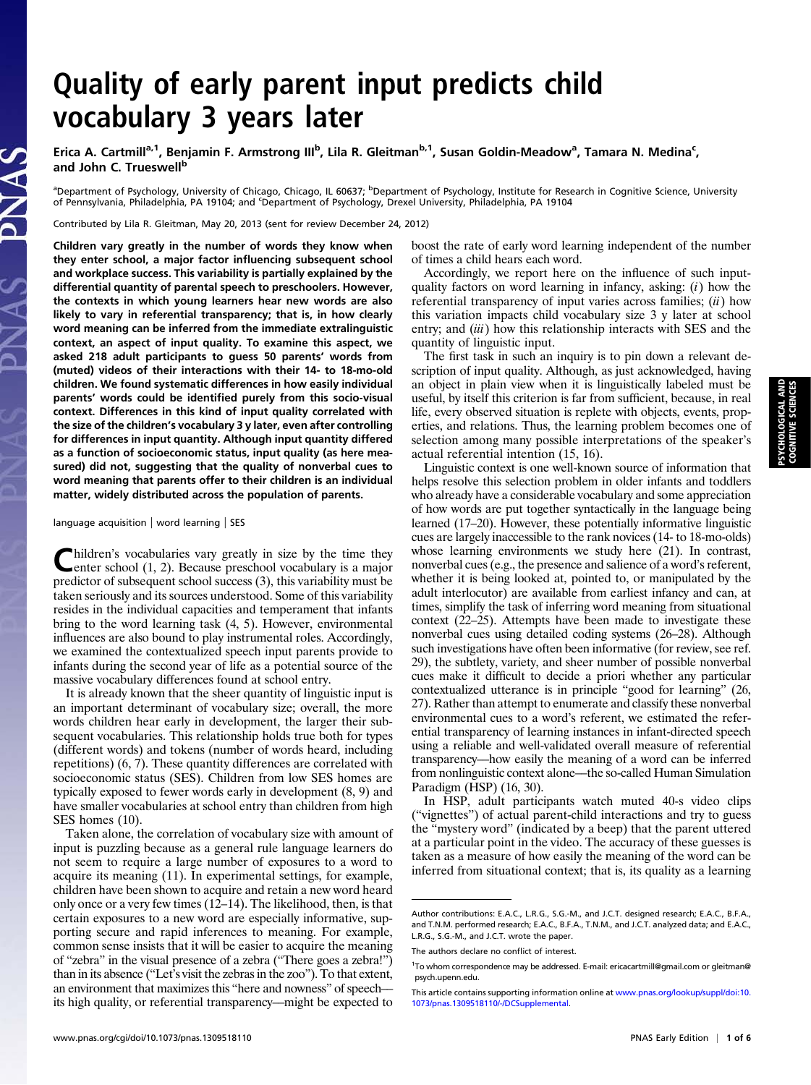## Quality of early parent input predicts child vocabulary 3 years later

Erica A. Cartmill<sup>a,1</sup>, Benjamin F. Armstrong III<sup>b</sup>, Lila R. Gleitman<sup>b,1</sup>, Susan Goldin-Meadow<sup>a</sup>, Tamara N. Medina<sup>c</sup>, and John C. Trueswell<sup>b</sup>

<sup>a</sup>Department of Psychology, University of Chicago, Chicago, IL 60637; <sup>b</sup>Department of Psychology, Institute for Research in Cognitive Science, University of Pennsylvania, Philadelphia, PA 19104; and <sup>c</sup> Department of Psychology, Drexel University, Philadelphia, PA 19104

Contributed by Lila R. Gleitman, May 20, 2013 (sent for review December 24, 2012)

Children vary greatly in the number of words they know when they enter school, a major factor influencing subsequent school and workplace success. This variability is partially explained by the differential quantity of parental speech to preschoolers. However, the contexts in which young learners hear new words are also likely to vary in referential transparency; that is, in how clearly word meaning can be inferred from the immediate extralinguistic context, an aspect of input quality. To examine this aspect, we asked 218 adult participants to guess 50 parents' words from (muted) videos of their interactions with their 14- to 18-mo-old children. We found systematic differences in how easily individual parents' words could be identified purely from this socio-visual context. Differences in this kind of input quality correlated with the size of the children's vocabulary 3 y later, even after controlling for differences in input quantity. Although input quantity differed as a function of socioeconomic status, input quality (as here measured) did not, suggesting that the quality of nonverbal cues to word meaning that parents offer to their children is an individual matter, widely distributed across the population of parents.

language acquisition | word learning | SES

Children's vocabularies vary greatly in size by the time they<br>enter school (1, 2). Because preschool vocabulary is a major predictor of subsequent school success (3), this variability must be taken seriously and its sources understood. Some of this variability resides in the individual capacities and temperament that infants bring to the word learning task (4, 5). However, environmental influences are also bound to play instrumental roles. Accordingly, we examined the contextualized speech input parents provide to infants during the second year of life as a potential source of the massive vocabulary differences found at school entry.

It is already known that the sheer quantity of linguistic input is an important determinant of vocabulary size; overall, the more words children hear early in development, the larger their subsequent vocabularies. This relationship holds true both for types (different words) and tokens (number of words heard, including repetitions) (6, 7). These quantity differences are correlated with socioeconomic status (SES). Children from low SES homes are typically exposed to fewer words early in development (8, 9) and have smaller vocabularies at school entry than children from high SES homes (10).

Taken alone, the correlation of vocabulary size with amount of input is puzzling because as a general rule language learners do not seem to require a large number of exposures to a word to acquire its meaning (11). In experimental settings, for example, children have been shown to acquire and retain a new word heard only once or a very few times (12–14). The likelihood, then, is that certain exposures to a new word are especially informative, supporting secure and rapid inferences to meaning. For example, common sense insists that it will be easier to acquire the meaning of "zebra" in the visual presence of a zebra ("There goes a zebra!") than in its absence ("Let's visit the zebras in the zoo"). To that extent, an environment that maximizes this "here and nowness" of speech–– its high quality, or referential transparency––might be expected to

boost the rate of early word learning independent of the number of times a child hears each word.

Accordingly, we report here on the influence of such inputquality factors on word learning in infancy, asking:  $(i)$  how the referential transparency of input varies across families;  $(ii)$  how this variation impacts child vocabulary size 3 y later at school entry; and *(iii)* how this relationship interacts with SES and the quantity of linguistic input.

The first task in such an inquiry is to pin down a relevant description of input quality. Although, as just acknowledged, having an object in plain view when it is linguistically labeled must be useful, by itself this criterion is far from sufficient, because, in real life, every observed situation is replete with objects, events, properties, and relations. Thus, the learning problem becomes one of selection among many possible interpretations of the speaker's actual referential intention (15, 16).

Linguistic context is one well-known source of information that helps resolve this selection problem in older infants and toddlers who already have a considerable vocabulary and some appreciation of how words are put together syntactically in the language being learned (17–20). However, these potentially informative linguistic cues are largely inaccessible to the rank novices (14- to 18-mo-olds) whose learning environments we study here (21). In contrast, nonverbal cues (e.g., the presence and salience of a word's referent, whether it is being looked at, pointed to, or manipulated by the adult interlocutor) are available from earliest infancy and can, at times, simplify the task of inferring word meaning from situational context (22–25). Attempts have been made to investigate these nonverbal cues using detailed coding systems (26–28). Although such investigations have often been informative (for review, see ref. 29), the subtlety, variety, and sheer number of possible nonverbal cues make it difficult to decide a priori whether any particular contextualized utterance is in principle "good for learning" (26, 27). Rather than attempt to enumerate and classify these nonverbal environmental cues to a word's referent, we estimated the referential transparency of learning instances in infant-directed speech using a reliable and well-validated overall measure of referential transparency––how easily the meaning of a word can be inferred from nonlinguistic context alone––the so-called Human Simulation Paradigm (HSP) (16, 30).

In HSP, adult participants watch muted 40-s video clips ("vignettes") of actual parent-child interactions and try to guess the "mystery word" (indicated by a beep) that the parent uttered at a particular point in the video. The accuracy of these guesses is taken as a measure of how easily the meaning of the word can be inferred from situational context; that is, its quality as a learning

Author contributions: E.A.C., L.R.G., S.G.-M., and J.C.T. designed research; E.A.C., B.F.A., and T.N.M. performed research; E.A.C., B.F.A., T.N.M., and J.C.T. analyzed data; and E.A.C., L.R.G., S.G.-M., and J.C.T. wrote the paper.

The authors declare no conflict of interest.

<sup>&</sup>lt;sup>1</sup>To whom correspondence may be addressed. E-mail: [ericacartmill@gmail.com](mailto:ericacartmill@gmail.com) or [gleitman@](mailto:gleitman@psych.upenn.edu) [psych.upenn.edu](mailto:gleitman@psych.upenn.edu).

This article contains supporting information online at [www.pnas.org/lookup/suppl/doi:10.](http://www.pnas.org/lookup/suppl/doi:10.1073/pnas.1309518110/-/DCSupplemental) [1073/pnas.1309518110/-/DCSupplemental](http://www.pnas.org/lookup/suppl/doi:10.1073/pnas.1309518110/-/DCSupplemental).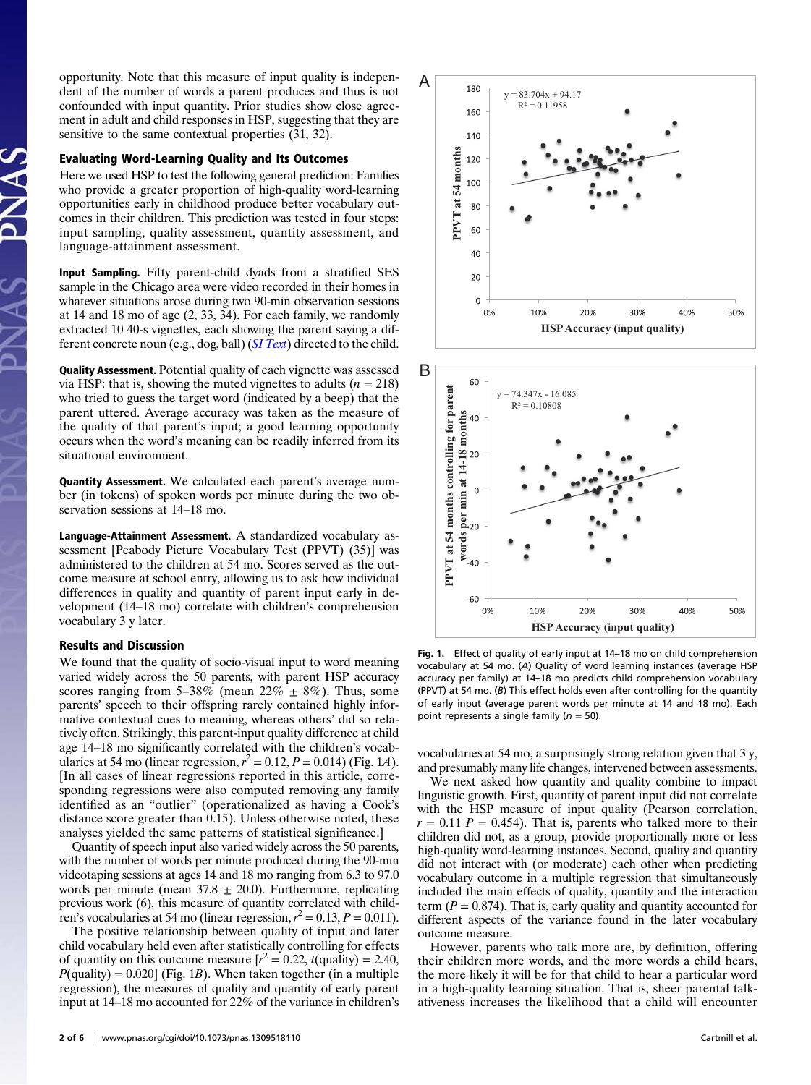opportunity. Note that this measure of input quality is independent of the number of words a parent produces and thus is not confounded with input quantity. Prior studies show close agreement in adult and child responses in HSP, suggesting that they are sensitive to the same contextual properties (31, 32).

## Evaluating Word-Learning Quality and Its Outcomes

Here we used HSP to test the following general prediction: Families who provide a greater proportion of high-quality word-learning opportunities early in childhood produce better vocabulary outcomes in their children. This prediction was tested in four steps: input sampling, quality assessment, quantity assessment, and language-attainment assessment.

Input Sampling. Fifty parent-child dyads from a stratified SES sample in the Chicago area were video recorded in their homes in whatever situations arose during two 90-min observation sessions at 14 and 18 mo of age (2, 33, 34). For each family, we randomly extracted 10 40-s vignettes, each showing the parent saying a dif-ferent concrete noun (e.g., dog, ball) ([SI Text](http://www.pnas.org/lookup/suppl/doi:10.1073/pnas.1309518110/-/DCSupplemental/pnas.201309518SI.pdf?targetid=nameddest=STXT)) directed to the child.

Quality Assessment. Potential quality of each vignette was assessed via HSP: that is, showing the muted vignettes to adults  $(n = 218)$ who tried to guess the target word (indicated by a beep) that the parent uttered. Average accuracy was taken as the measure of the quality of that parent's input; a good learning opportunity occurs when the word's meaning can be readily inferred from its situational environment.

Quantity Assessment. We calculated each parent's average number (in tokens) of spoken words per minute during the two observation sessions at 14–18 mo.

Language-Attainment Assessment. A standardized vocabulary assessment [Peabody Picture Vocabulary Test (PPVT) (35)] was administered to the children at 54 mo. Scores served as the outcome measure at school entry, allowing us to ask how individual differences in quality and quantity of parent input early in development (14–18 mo) correlate with children's comprehension vocabulary 3 y later.

## Results and Discussion

We found that the quality of socio-visual input to word meaning varied widely across the 50 parents, with parent HSP accuracy scores ranging from 5–38% (mean  $22\% \pm 8\%$ ). Thus, some parents' speech to their offspring rarely contained highly informative contextual cues to meaning, whereas others' did so relatively often. Strikingly, this parent-input quality difference at child age 14–18 mo significantly correlated with the children's vocabularies at 54 mo (linear regression,  $r^2 = 0.12$ ,  $P = 0.014$ ) (Fig. 1A). [In all cases of linear regressions reported in this article, corresponding regressions were also computed removing any family identified as an "outlier" (operationalized as having a Cook's distance score greater than 0.15). Unless otherwise noted, these analyses yielded the same patterns of statistical significance.]

Quantity of speech input also varied widely across the 50 parents, with the number of words per minute produced during the 90-min videotaping sessions at ages 14 and 18 mo ranging from 6.3 to 97.0 words per minute (mean  $37.8 \pm 20.0$ ). Furthermore, replicating previous work (6), this measure of quantity correlated with children's vocabularies at 54 mo (linear regression,  $r^2 = 0.13$ ,  $P = 0.011$ ).

The positive relationship between quality of input and later child vocabulary held even after statistically controlling for effects of quantity on this outcome measure  $[r^2 = 0.22, t(\text{quality}) = 2.40,$  $P$ (quality) = 0.020] (Fig. 1*B*). When taken together (in a multiple regression), the measures of quality and quantity of early parent input at 14–18 mo accounted for 22% of the variance in children's





Fig. 1. Effect of quality of early input at 14–18 mo on child comprehension vocabulary at 54 mo. (A) Quality of word learning instances (average HSP accuracy per family) at 14–18 mo predicts child comprehension vocabulary (PPVT) at 54 mo. (B) This effect holds even after controlling for the quantity of early input (average parent words per minute at 14 and 18 mo). Each point represents a single family ( $n = 50$ ).

vocabularies at 54 mo, a surprisingly strong relation given that 3 y, and presumably many life changes, intervened between assessments.

We next asked how quantity and quality combine to impact linguistic growth. First, quantity of parent input did not correlate with the HSP measure of input quality (Pearson correlation,  $r = 0.11$   $P = 0.454$ . That is, parents who talked more to their children did not, as a group, provide proportionally more or less high-quality word-learning instances. Second, quality and quantity did not interact with (or moderate) each other when predicting vocabulary outcome in a multiple regression that simultaneously included the main effects of quality, quantity and the interaction term ( $P = 0.874$ ). That is, early quality and quantity accounted for different aspects of the variance found in the later vocabulary outcome measure.

However, parents who talk more are, by definition, offering their children more words, and the more words a child hears, the more likely it will be for that child to hear a particular word in a high-quality learning situation. That is, sheer parental talk-<br>ativeness increases the likelihood that a child will encounter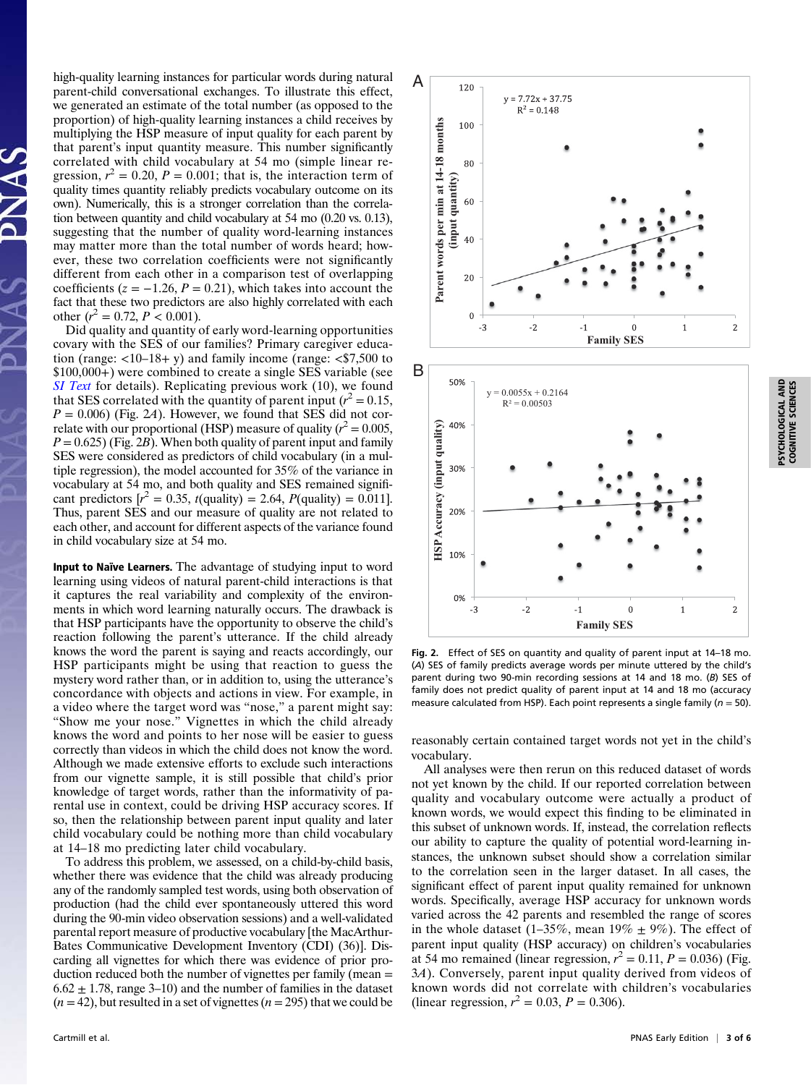high-quality learning instances for particular words during natural parent-child conversational exchanges. To illustrate this effect, we generated an estimate of the total number (as opposed to the proportion) of high-quality learning instances a child receives by multiplying the HSP measure of input quality for each parent by that parent's input quantity measure. This number significantly correlated with child vocabulary at 54 mo (simple linear regression,  $r^2 = 0.20$ ,  $P = 0.001$ ; that is, the interaction term of quality times quantity reliably predicts vocabulary outcome on its own). Numerically, this is a stronger correlation than the correlation between quantity and child vocabulary at 54 mo (0.20 vs. 0.13), suggesting that the number of quality word-learning instances may matter more than the total number of words heard; however, these two correlation coefficients were not significantly different from each other in a comparison test of overlapping coefficients ( $z = -1.26$ ,  $P = 0.21$ ), which takes into account the fact that these two predictors are also highly correlated with each other ( $r^2 = 0.72$ ,  $P < 0.001$ ).

Did quality and quantity of early word-learning opportunities covary with the SES of our families? Primary caregiver education (range:  $\langle 10-18+y \rangle$  and family income (range:  $\langle $7,500 \rangle$  to \$100,000+) were combined to create a single SES variable (see [SI Text](http://www.pnas.org/lookup/suppl/doi:10.1073/pnas.1309518110/-/DCSupplemental/pnas.201309518SI.pdf?targetid=nameddest=STXT) for details). Replicating previous work (10), we found that SES correlated with the quantity of parent input ( $r^2 = 0.15$ ,  $P = 0.006$ ) (Fig. 2A). However, we found that SES did not correlate with our proportional (HSP) measure of quality ( $r^2 = 0.005$ ,  $P = 0.625$ ) (Fig. 2B). When both quality of parent input and family SES were considered as predictors of child vocabulary (in a multiple regression), the model accounted for 35% of the variance in vocabulary at 54 mo, and both quality and SES remained significant predictors  $[r^2 = 0.35, t(quality) = 2.64, P(quality) = 0.011]$ . Thus, parent SES and our measure of quality are not related to each other, and account for different aspects of the variance found in child vocabulary size at 54 mo.

Input to Naïve Learners. The advantage of studying input to word learning using videos of natural parent-child interactions is that it captures the real variability and complexity of the environments in which word learning naturally occurs. The drawback is that HSP participants have the opportunity to observe the child's reaction following the parent's utterance. If the child already knows the word the parent is saying and reacts accordingly, our HSP participants might be using that reaction to guess the mystery word rather than, or in addition to, using the utterance's concordance with objects and actions in view. For example, in a video where the target word was "nose," a parent might say: "Show me your nose." Vignettes in which the child already knows the word and points to her nose will be easier to guess correctly than videos in which the child does not know the word. Although we made extensive efforts to exclude such interactions from our vignette sample, it is still possible that child's prior knowledge of target words, rather than the informativity of parental use in context, could be driving HSP accuracy scores. If so, then the relationship between parent input quality and later child vocabulary could be nothing more than child vocabulary at 14–18 mo predicting later child vocabulary.

To address this problem, we assessed, on a child-by-child basis, whether there was evidence that the child was already producing any of the randomly sampled test words, using both observation of production (had the child ever spontaneously uttered this word during the 90-min video observation sessions) and a well-validated parental report measure of productive vocabulary [the MacArthur-Bates Communicative Development Inventory (CDI) (36)]. Discarding all vignettes for which there was evidence of prior production reduced both the number of vignettes per family (mean =  $6.62 \pm 1.78$ , range 3–10) and the number of families in the dataset  $(n = 42)$ , but resulted in a set of vignettes  $(n = 295)$  that we could be



PSYCHOLOGICAL AND COGNITIVE SCIENCES

PSYCHOLOGICAL AND<br>COGNITIVE SCIENCES

Fig. 2. Effect of SES on quantity and quality of parent input at 14–18 mo. (A) SES of family predicts average words per minute uttered by the child's parent during two 90-min recording sessions at 14 and 18 mo. (B) SES of family does not predict quality of parent input at 14 and 18 mo (accuracy measure calculated from HSP). Each point represents a single family ( $n = 50$ ).

reasonably certain contained target words not yet in the child's vocabulary.

All analyses were then rerun on this reduced dataset of words not yet known by the child. If our reported correlation between quality and vocabulary outcome were actually a product of known words, we would expect this finding to be eliminated in this subset of unknown words. If, instead, the correlation reflects our ability to capture the quality of potential word-learning instances, the unknown subset should show a correlation similar to the correlation seen in the larger dataset. In all cases, the significant effect of parent input quality remained for unknown words. Specifically, average HSP accuracy for unknown words varied across the 42 parents and resembled the range of scores in the whole dataset (1–35%, mean 19%  $\pm$  9%). The effect of parent input quality (HSP accuracy) on children's vocabularies at 54 mo remained (linear regression,  $r^2 = 0.11$ ,  $P = 0.036$ ) (Fig. 3A). Conversely, parent input quality derived from videos of known words did not correlate with children's vocabularies (linear regression,  $r^2 = 0.03$ ,  $P = 0.306$ ).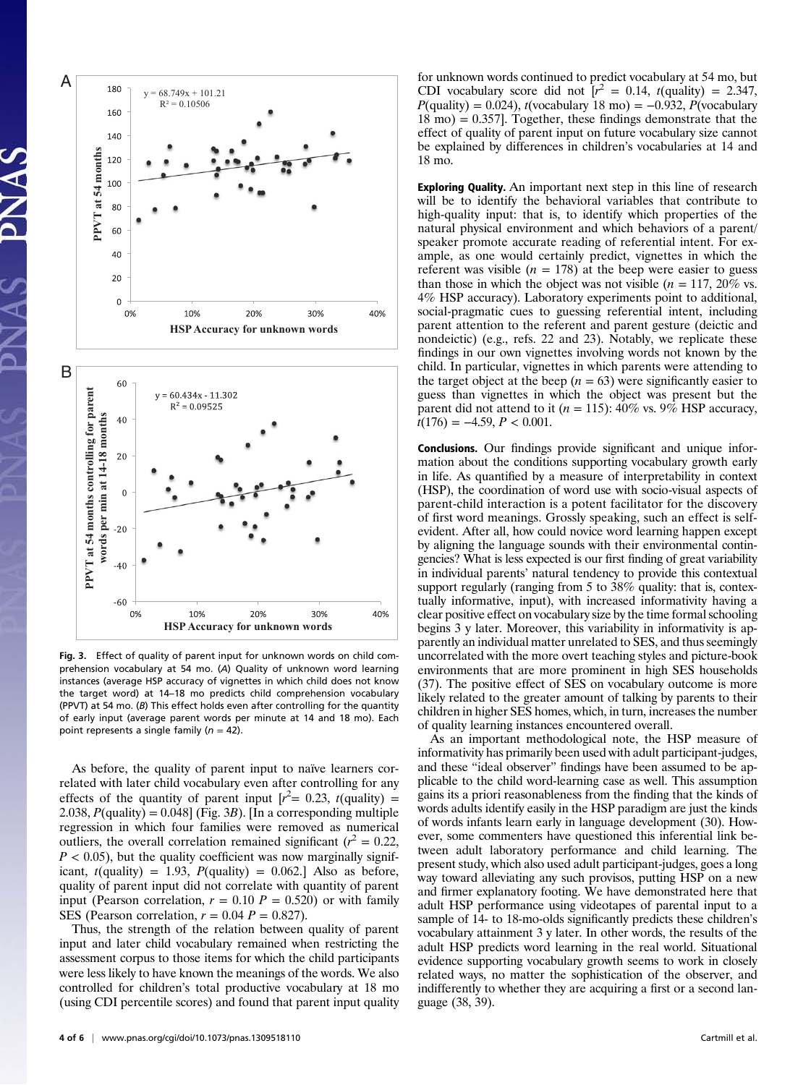

Fig. 3. Effect of quality of parent input for unknown words on child comprehension vocabulary at 54 mo. (A) Quality of unknown word learning instances (average HSP accuracy of vignettes in which child does not know the target word) at 14–18 mo predicts child comprehension vocabulary (PPVT) at 54 mo. (B) This effect holds even after controlling for the quantity of early input (average parent words per minute at 14 and 18 mo). Each point represents a single family ( $n = 42$ ).

As before, the quality of parent input to naïve learners correlated with later child vocabulary even after controlling for any effects of the quantity of parent input  $[r^2= 0.23, t$  (quality) = 2.038,  $P$ (quality) = 0.048] (Fig. 3*B*). [In a corresponding multiple regression in which four families were removed as numerical outliers, the overall correlation remained significant ( $r^2 = 0.22$ ,  $P < 0.05$ ), but the quality coefficient was now marginally significant,  $t$ (quality) = 1.93,  $P$ (quality) = 0.062.] Also as before, quality of parent input did not correlate with quantity of parent input (Pearson correlation,  $r = 0.10$   $P = 0.520$ ) or with family SES (Pearson correlation,  $r = 0.04$   $P = 0.827$ ).

Thus, the strength of the relation between quality of parent input and later child vocabulary remained when restricting the assessment corpus to those items for which the child participants were less likely to have known the meanings of the words. We also controlled for children's total productive vocabulary at 18 mo (using CDI percentile scores) and found that parent input quality

4 of 6 | <www.pnas.org/cgi/doi/10.1073/pnas.1309518110> Cartmill et al.

for unknown words continued to predict vocabulary at 54 mo, but CDI vocabulary score did not  $[r^2 = 0.14, t(\text{quality}) = 2.347,$  $P(\text{quality}) = 0.024$ , t(vocabulary 18 mo) = -0.932,  $\vec{P}(\text{vocabulary})$  $18 \text{ mo} = 0.357$ . Together, these findings demonstrate that the effect of quality of parent input on future vocabulary size cannot be explained by differences in children's vocabularies at 14 and 18 mo.

Exploring Quality. An important next step in this line of research will be to identify the behavioral variables that contribute to high-quality input: that is, to identify which properties of the natural physical environment and which behaviors of a parent/ speaker promote accurate reading of referential intent. For example, as one would certainly predict, vignettes in which the referent was visible  $(n = 178)$  at the beep were easier to guess than those in which the object was not visible ( $n = 117, 20\%$  vs. 4% HSP accuracy). Laboratory experiments point to additional, social-pragmatic cues to guessing referential intent, including parent attention to the referent and parent gesture (deictic and nondeictic) (e.g., refs. 22 and 23). Notably, we replicate these findings in our own vignettes involving words not known by the child. In particular, vignettes in which parents were attending to the target object at the beep ( $n = 63$ ) were significantly easier to guess than vignettes in which the object was present but the parent did not attend to it ( $n = 115$ ): 40% vs. 9% HSP accuracy,  $t(176) = -4.59, P < 0.001.$ 

Conclusions. Our findings provide significant and unique information about the conditions supporting vocabulary growth early in life. As quantified by a measure of interpretability in context (HSP), the coordination of word use with socio-visual aspects of parent-child interaction is a potent facilitator for the discovery of first word meanings. Grossly speaking, such an effect is selfevident. After all, how could novice word learning happen except by aligning the language sounds with their environmental contingencies? What is less expected is our first finding of great variability in individual parents' natural tendency to provide this contextual support regularly (ranging from 5 to 38% quality: that is, contextually informative, input), with increased informativity having a clear positive effect on vocabulary size by the time formal schooling begins 3 y later. Moreover, this variability in informativity is apparently an individual matter unrelated to SES, and thus seemingly uncorrelated with the more overt teaching styles and picture-book environments that are more prominent in high SES households (37). The positive effect of SES on vocabulary outcome is more likely related to the greater amount of talking by parents to their children in higher SES homes, which, in turn, increases the number of quality learning instances encountered overall.

As an important methodological note, the HSP measure of informativity has primarily been used with adult participant-judges, and these "ideal observer" findings have been assumed to be applicable to the child word-learning case as well. This assumption gains its a priori reasonableness from the finding that the kinds of words adults identify easily in the HSP paradigm are just the kinds of words infants learn early in language development (30). However, some commenters have questioned this inferential link between adult laboratory performance and child learning. The present study, which also used adult participant-judges, goes a long way toward alleviating any such provisos, putting HSP on a new and firmer explanatory footing. We have demonstrated here that adult HSP performance using videotapes of parental input to a sample of 14- to 18-mo-olds significantly predicts these children's vocabulary attainment 3 y later. In other words, the results of the adult HSP predicts word learning in the real world. Situational evidence supporting vocabulary growth seems to work in closely related ways, no matter the sophistication of the observer, and indifferently to whether they are acquiring a first or a second language (38, 39).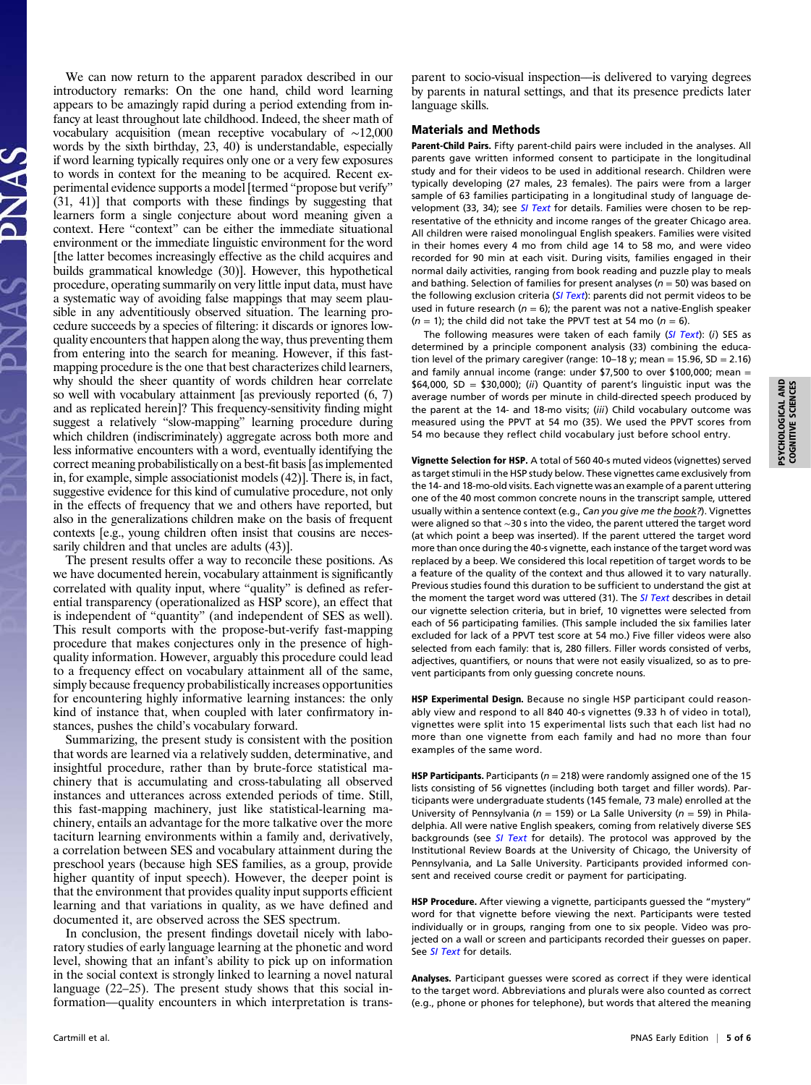We can now return to the apparent paradox described in our introductory remarks: On the one hand, child word learning appears to be amazingly rapid during a period extending from infancy at least throughout late childhood. Indeed, the sheer math of vocabulary acquisition (mean receptive vocabulary of ∼12,000 words by the sixth birthday, 23, 40) is understandable, especially if word learning typically requires only one or a very few exposures to words in context for the meaning to be acquired. Recent experimental evidence supports a model [termed "propose but verify" (31, 41)] that comports with these findings by suggesting that learners form a single conjecture about word meaning given a context. Here "context" can be either the immediate situational environment or the immediate linguistic environment for the word [the latter becomes increasingly effective as the child acquires and builds grammatical knowledge (30)]. However, this hypothetical procedure, operating summarily on very little input data, must have a systematic way of avoiding false mappings that may seem plausible in any adventitiously observed situation. The learning procedure succeeds by a species of filtering: it discards or ignores lowquality encounters that happen along the way, thus preventing them from entering into the search for meaning. However, if this fastmapping procedure is the one that best characterizes child learners, why should the sheer quantity of words children hear correlate so well with vocabulary attainment [as previously reported (6, 7) and as replicated herein]? This frequency-sensitivity finding might suggest a relatively "slow-mapping" learning procedure during which children (indiscriminately) aggregate across both more and less informative encounters with a word, eventually identifying the correct meaning probabilistically on a best-fit basis [as implemented in, for example, simple associationist models (42)]. There is, in fact, suggestive evidence for this kind of cumulative procedure, not only in the effects of frequency that we and others have reported, but also in the generalizations children make on the basis of frequent contexts [e.g., young children often insist that cousins are necessarily children and that uncles are adults (43)].

The present results offer a way to reconcile these positions. As we have documented herein, vocabulary attainment is significantly correlated with quality input, where "quality" is defined as referential transparency (operationalized as HSP score), an effect that is independent of "quantity" (and independent of SES as well). This result comports with the propose-but-verify fast-mapping procedure that makes conjectures only in the presence of highquality information. However, arguably this procedure could lead to a frequency effect on vocabulary attainment all of the same, simply because frequency probabilistically increases opportunities for encountering highly informative learning instances: the only kind of instance that, when coupled with later confirmatory instances, pushes the child's vocabulary forward.

Summarizing, the present study is consistent with the position that words are learned via a relatively sudden, determinative, and insightful procedure, rather than by brute-force statistical machinery that is accumulating and cross-tabulating all observed instances and utterances across extended periods of time. Still, this fast-mapping machinery, just like statistical-learning machinery, entails an advantage for the more talkative over the more taciturn learning environments within a family and, derivatively, a correlation between SES and vocabulary attainment during the preschool years (because high SES families, as a group, provide higher quantity of input speech). However, the deeper point is that the environment that provides quality input supports efficient learning and that variations in quality, as we have defined and documented it, are observed across the SES spectrum.

In conclusion, the present findings dovetail nicely with laboratory studies of early language learning at the phonetic and word level, showing that an infant's ability to pick up on information in the social context is strongly linked to learning a novel natural language (22–25). The present study shows that this social information––quality encounters in which interpretation is trans-

parent to socio-visual inspection––is delivered to varying degrees by parents in natural settings, and that its presence predicts later language skills.

## Materials and Methods

Parent-Child Pairs. Fifty parent-child pairs were included in the analyses. All parents gave written informed consent to participate in the longitudinal study and for their videos to be used in additional research. Children were typically developing (27 males, 23 females). The pairs were from a larger sample of 63 families participating in a longitudinal study of language de-velopment (33, 34); see [SI Text](http://www.pnas.org/lookup/suppl/doi:10.1073/pnas.1309518110/-/DCSupplemental/pnas.201309518SI.pdf?targetid=nameddest=STXT) for details. Families were chosen to be representative of the ethnicity and income ranges of the greater Chicago area. All children were raised monolingual English speakers. Families were visited in their homes every 4 mo from child age 14 to 58 mo, and were video recorded for 90 min at each visit. During visits, families engaged in their normal daily activities, ranging from book reading and puzzle play to meals and bathing. Selection of families for present analyses ( $n = 50$ ) was based on the following exclusion criteria ([SI Text](http://www.pnas.org/lookup/suppl/doi:10.1073/pnas.1309518110/-/DCSupplemental/pnas.201309518SI.pdf?targetid=nameddest=STXT)): parents did not permit videos to be used in future research ( $n = 6$ ); the parent was not a native-English speaker  $(n = 1)$ ; the child did not take the PPVT test at 54 mo  $(n = 6)$ .

The following measures were taken of each family  $(SI Text):$  $(SI Text):$  $(SI Text):$  (i) SES as determined by a principle component analysis (33) combining the education level of the primary caregiver (range:  $10-18$  y; mean =  $15.96$ ,  $SD = 2.16$ ) and family annual income (range: under  $$7,500$  to over  $$100,000$ ; mean = \$64,000, SD = \$30,000); (ii) Quantity of parent's linguistic input was the average number of words per minute in child-directed speech produced by the parent at the 14- and 18-mo visits; (iii) Child vocabulary outcome was measured using the PPVT at 54 mo (35). We used the PPVT scores from 54 mo because they reflect child vocabulary just before school entry.

Vignette Selection for HSP. A total of 560 40-s muted videos (vignettes) served as target stimuli in the HSP study below. These vignettes came exclusively from the 14- and 18-mo-old visits. Each vignette was an example of a parent uttering one of the 40 most common concrete nouns in the transcript sample, uttered usually within a sentence context (e.g., Can you give me the book?). Vignettes were aligned so that ∼30 s into the video, the parent uttered the target word (at which point a beep was inserted). If the parent uttered the target word more than once during the 40-s vignette, each instance of the target word was replaced by a beep. We considered this local repetition of target words to be a feature of the quality of the context and thus allowed it to vary naturally. Previous studies found this duration to be sufficient to understand the gist at the moment the target word was uttered (31). The [SI Text](http://www.pnas.org/lookup/suppl/doi:10.1073/pnas.1309518110/-/DCSupplemental/pnas.201309518SI.pdf?targetid=nameddest=STXT) describes in detail our vignette selection criteria, but in brief, 10 vignettes were selected from each of 56 participating families. (This sample included the six families later excluded for lack of a PPVT test score at 54 mo.) Five filler videos were also selected from each family: that is, 280 fillers. Filler words consisted of verbs, adjectives, quantifiers, or nouns that were not easily visualized, so as to prevent participants from only guessing concrete nouns.

HSP Experimental Design. Because no single HSP participant could reasonably view and respond to all 840 40-s vignettes (9.33 h of video in total), vignettes were split into 15 experimental lists such that each list had no more than one vignette from each family and had no more than four examples of the same word.

HSP Participants. Participants ( $n = 218$ ) were randomly assigned one of the 15 lists consisting of 56 vignettes (including both target and filler words). Participants were undergraduate students (145 female, 73 male) enrolled at the University of Pennsylvania ( $n = 159$ ) or La Salle University ( $n = 59$ ) in Philadelphia. All were native English speakers, coming from relatively diverse SES backgrounds (see [SI Text](http://www.pnas.org/lookup/suppl/doi:10.1073/pnas.1309518110/-/DCSupplemental/pnas.201309518SI.pdf?targetid=nameddest=STXT) for details). The protocol was approved by the Institutional Review Boards at the University of Chicago, the University of Pennsylvania, and La Salle University. Participants provided informed consent and received course credit or payment for participating.

HSP Procedure. After viewing a vignette, participants guessed the "mystery" word for that vignette before viewing the next. Participants were tested individually or in groups, ranging from one to six people. Video was projected on a wall or screen and participants recorded their guesses on paper. See [SI Text](http://www.pnas.org/lookup/suppl/doi:10.1073/pnas.1309518110/-/DCSupplemental/pnas.201309518SI.pdf?targetid=nameddest=STXT) for details.

Analyses. Participant guesses were scored as correct if they were identical to the target word. Abbreviations and plurals were also counted as correct (e.g., phone or phones for telephone), but words that altered the meaning